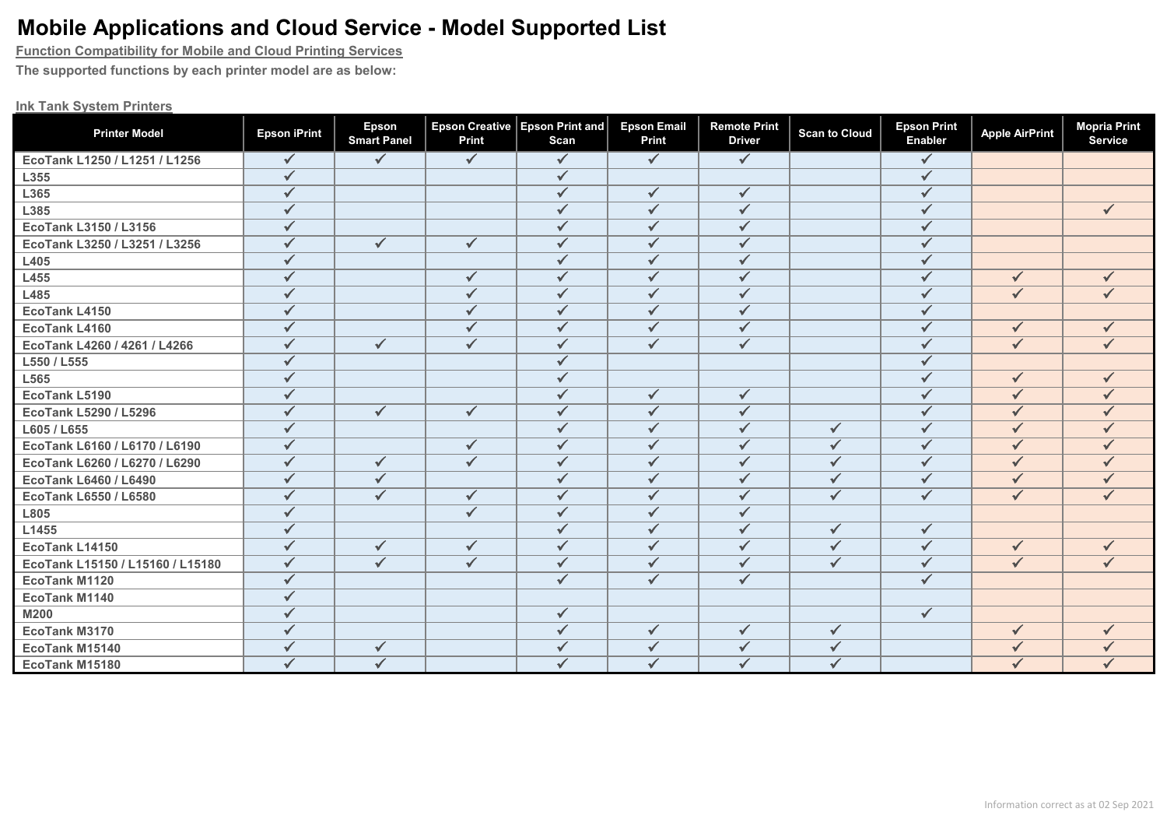**Function Compatibility for Mobile and Cloud Printing Services**

**The supported functions by each printer model are as below:**

#### **Ink Tank System Printers**

| <b>Printer Model</b>             | <b>Epson iPrint</b> | Epson<br><b>Smart Panel</b> | <b>Epson Creative</b><br>Print | <b>Epson Print and</b><br>Scan | <b>Epson Email</b><br><b>Print</b> | <b>Remote Print</b><br><b>Driver</b> | <b>Scan to Cloud</b> | <b>Epson Print</b><br><b>Enabler</b> | <b>Apple AirPrint</b> | <b>Mopria Print</b><br>Service |
|----------------------------------|---------------------|-----------------------------|--------------------------------|--------------------------------|------------------------------------|--------------------------------------|----------------------|--------------------------------------|-----------------------|--------------------------------|
| EcoTank L1250 / L1251 / L1256    | $\checkmark$        | $\checkmark$                | $\checkmark$                   | $\checkmark$                   | $\sqrt{}$                          | $\sqrt{}$                            |                      | $\checkmark$                         |                       |                                |
| L355                             | $\checkmark$        |                             |                                | $\checkmark$                   |                                    |                                      |                      | $\checkmark$                         |                       |                                |
| L365                             | $\checkmark$        |                             |                                | $\checkmark$                   | $\checkmark$                       | $\checkmark$                         |                      | $\checkmark$                         |                       |                                |
| L385                             | $\checkmark$        |                             |                                | $\checkmark$                   | $\checkmark$                       | $\checkmark$                         |                      | $\checkmark$                         |                       | $\checkmark$                   |
| EcoTank L3150 / L3156            | $\checkmark$        |                             |                                | $\checkmark$                   | $\checkmark$                       | $\checkmark$                         |                      | ✓                                    |                       |                                |
| EcoTank L3250 / L3251 / L3256    | $\checkmark$        | $\checkmark$                | $\checkmark$                   | $\checkmark$                   | $\checkmark$                       | $\checkmark$                         |                      |                                      |                       |                                |
| L405                             | $\checkmark$        |                             |                                | $\checkmark$                   | $\checkmark$                       | $\checkmark$                         |                      | ✓                                    |                       |                                |
| L455                             | $\checkmark$        |                             | $\checkmark$                   | $\checkmark$                   | $\checkmark$                       | $\checkmark$                         |                      | $\checkmark$                         | $\checkmark$          |                                |
| L485                             | $\checkmark$        |                             | $\checkmark$                   | $\checkmark$                   | $\checkmark$                       | $\sqrt{}$                            |                      | $\sqrt{}$                            | $\checkmark$          | $\checkmark$                   |
| <b>EcoTank L4150</b>             | $\checkmark$        |                             | $\checkmark$                   | $\checkmark$                   | $\checkmark$                       | $\checkmark$                         |                      | $\checkmark$                         |                       |                                |
| EcoTank L4160                    | $\checkmark$        |                             | $\checkmark$                   | $\checkmark$                   | $\checkmark$                       | $\checkmark$                         |                      | $\checkmark$                         | $\checkmark$          |                                |
| EcoTank L4260 / 4261 / L4266     | $\checkmark$        | $\checkmark$                | $\checkmark$                   | $\checkmark$                   | $\checkmark$                       | $\checkmark$                         |                      | ✓                                    | $\checkmark$          | $\checkmark$                   |
| L550 / L555                      | $\checkmark$        |                             |                                | $\checkmark$                   |                                    |                                      |                      | $\sqrt{}$                            |                       |                                |
| L565                             | $\checkmark$        |                             |                                | $\checkmark$                   |                                    |                                      |                      | $\checkmark$                         | $\checkmark$          |                                |
| EcoTank L5190                    | $\checkmark$        |                             |                                | $\checkmark$                   | $\sqrt{}$                          | $\checkmark$                         |                      | $\checkmark$                         | $\checkmark$          |                                |
| <b>EcoTank L5290 / L5296</b>     | $\checkmark$        | $\checkmark$                | $\checkmark$                   | $\checkmark$                   | $\checkmark$                       | $\checkmark$                         |                      | $\checkmark$                         | $\checkmark$          | ✓                              |
| L605 / L655                      | $\checkmark$        |                             |                                | $\checkmark$                   | $\checkmark$                       | $\checkmark$                         | $\checkmark$         | $\checkmark$                         | $\checkmark$          |                                |
| EcoTank L6160 / L6170 / L6190    | $\checkmark$        |                             | $\checkmark$                   | $\checkmark$                   | $\checkmark$                       | $\checkmark$                         | $\checkmark$         | $\checkmark$                         | $\checkmark$          |                                |
| EcoTank L6260 / L6270 / L6290    | $\checkmark$        | $\checkmark$                | $\checkmark$                   | $\checkmark$                   | $\checkmark$                       | $\checkmark$                         | $\checkmark$         | $\checkmark$                         | $\checkmark$          |                                |
| <b>EcoTank L6460 / L6490</b>     | $\checkmark$        | $\checkmark$                |                                | $\checkmark$                   | $\checkmark$                       | $\checkmark$                         | $\checkmark$         | $\checkmark$                         | $\checkmark$          | ✓                              |
| <b>EcoTank L6550 / L6580</b>     | $\checkmark$        | $\checkmark$                | $\checkmark$                   | $\overline{\checkmark}$        | $\checkmark$                       | $\checkmark$                         | $\checkmark$         | $\checkmark$                         | $\checkmark$          | $\checkmark$                   |
| L805                             | $\checkmark$        |                             | $\checkmark$                   | $\checkmark$                   | $\checkmark$                       | $\checkmark$                         |                      |                                      |                       |                                |
| L1455                            | $\checkmark$        |                             |                                | $\checkmark$                   | $\checkmark$                       | $\checkmark$                         | $\checkmark$         | $\checkmark$                         |                       |                                |
| EcoTank L14150                   | $\checkmark$        | $\checkmark$                | $\checkmark$                   | $\checkmark$                   | $\checkmark$                       | $\checkmark$                         | $\checkmark$         | $\checkmark$                         | $\checkmark$          | $\checkmark$                   |
| EcoTank L15150 / L15160 / L15180 | $\checkmark$        | $\checkmark$                | $\checkmark$                   | $\checkmark$                   | $\checkmark$                       | $\checkmark$                         | $\checkmark$         | $\checkmark$                         | $\checkmark$          | $\checkmark$                   |
| EcoTank M1120                    | $\checkmark$        |                             |                                | $\checkmark$                   | $\checkmark$                       | $\checkmark$                         |                      | $\checkmark$                         |                       |                                |
| EcoTank M1140                    | $\checkmark$        |                             |                                |                                |                                    |                                      |                      |                                      |                       |                                |
| <b>M200</b>                      | $\checkmark$        |                             |                                | $\checkmark$                   |                                    |                                      |                      | $\checkmark$                         |                       |                                |
| EcoTank M3170                    | $\checkmark$        |                             |                                | $\checkmark$                   | $\checkmark$                       | $\checkmark$                         | $\checkmark$         |                                      | $\checkmark$          |                                |
| <b>EcoTank M15140</b>            | $\checkmark$        | ✓                           |                                | $\checkmark$                   | $\checkmark$                       | $\checkmark$                         | $\checkmark$         |                                      | $\checkmark$          |                                |
| EcoTank M15180                   | $\checkmark$        | $\checkmark$                |                                | ✓                              | $\checkmark$                       | $\checkmark$                         |                      |                                      |                       |                                |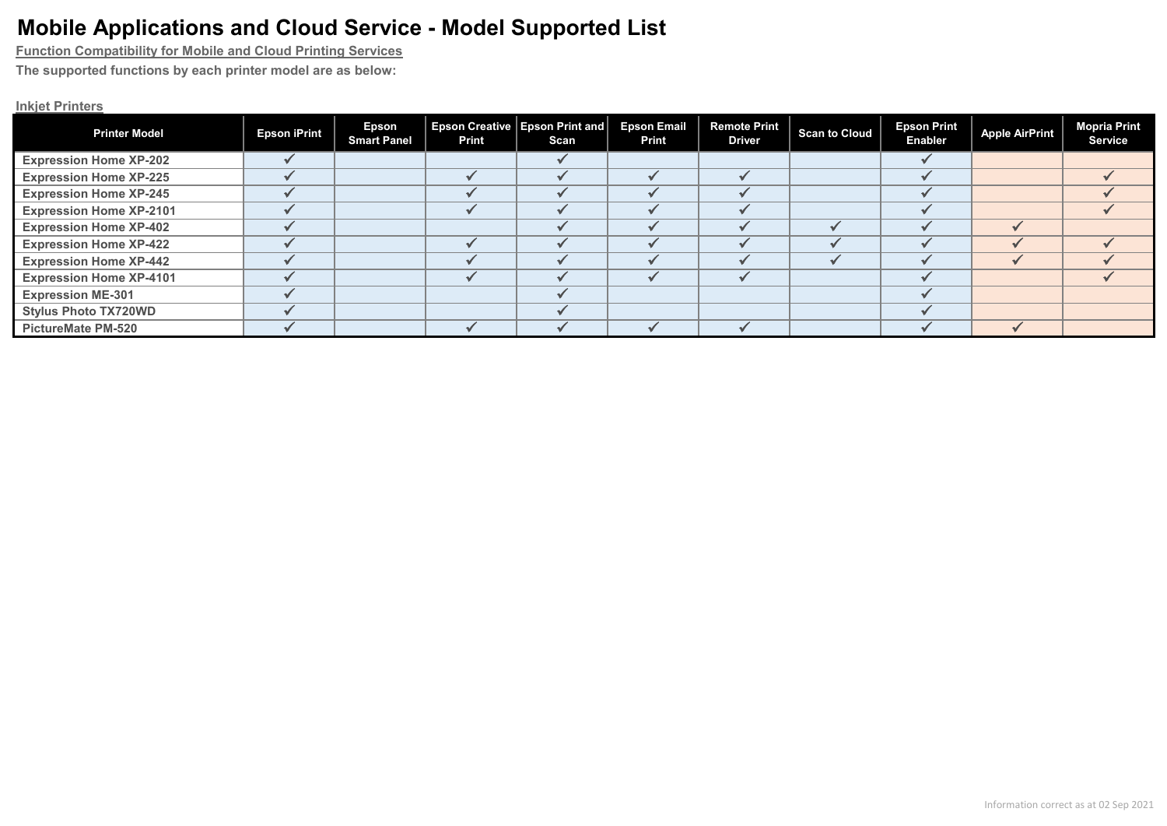**Function Compatibility for Mobile and Cloud Printing Services**

**The supported functions by each printer model are as below:**

### **Inkjet Printers**

| <b>Printer Model</b>           | <b>Epson iPrint</b> | Epson<br><b>Smart Panel</b> | Print | Epson Creative   Epson Print and  <br>Scan | <b>Epson Email</b><br>Print | Remote Print<br><b>Driver</b> | <b>Scan to Cloud</b> | <b>Epson Print</b><br><b>Enabler</b> | Apple AirPrint | <b>Mopria Print</b><br><b>Service</b> |
|--------------------------------|---------------------|-----------------------------|-------|--------------------------------------------|-----------------------------|-------------------------------|----------------------|--------------------------------------|----------------|---------------------------------------|
| <b>Expression Home XP-202</b>  |                     |                             |       |                                            |                             |                               |                      |                                      |                |                                       |
| <b>Expression Home XP-225</b>  |                     |                             |       |                                            |                             |                               |                      |                                      |                |                                       |
| <b>Expression Home XP-245</b>  |                     |                             |       |                                            |                             |                               |                      |                                      |                |                                       |
| <b>Expression Home XP-2101</b> |                     |                             |       |                                            |                             |                               |                      |                                      |                |                                       |
| <b>Expression Home XP-402</b>  |                     |                             |       |                                            |                             |                               |                      |                                      |                |                                       |
| <b>Expression Home XP-422</b>  |                     |                             |       |                                            |                             |                               |                      |                                      |                |                                       |
| <b>Expression Home XP-442</b>  |                     |                             |       |                                            |                             |                               |                      |                                      |                |                                       |
| <b>Expression Home XP-4101</b> |                     |                             |       |                                            |                             |                               |                      |                                      |                |                                       |
| <b>Expression ME-301</b>       |                     |                             |       |                                            |                             |                               |                      |                                      |                |                                       |
| <b>Stylus Photo TX720WD</b>    |                     |                             |       |                                            |                             |                               |                      |                                      |                |                                       |
| <b>PictureMate PM-520</b>      |                     |                             |       |                                            |                             |                               |                      |                                      |                |                                       |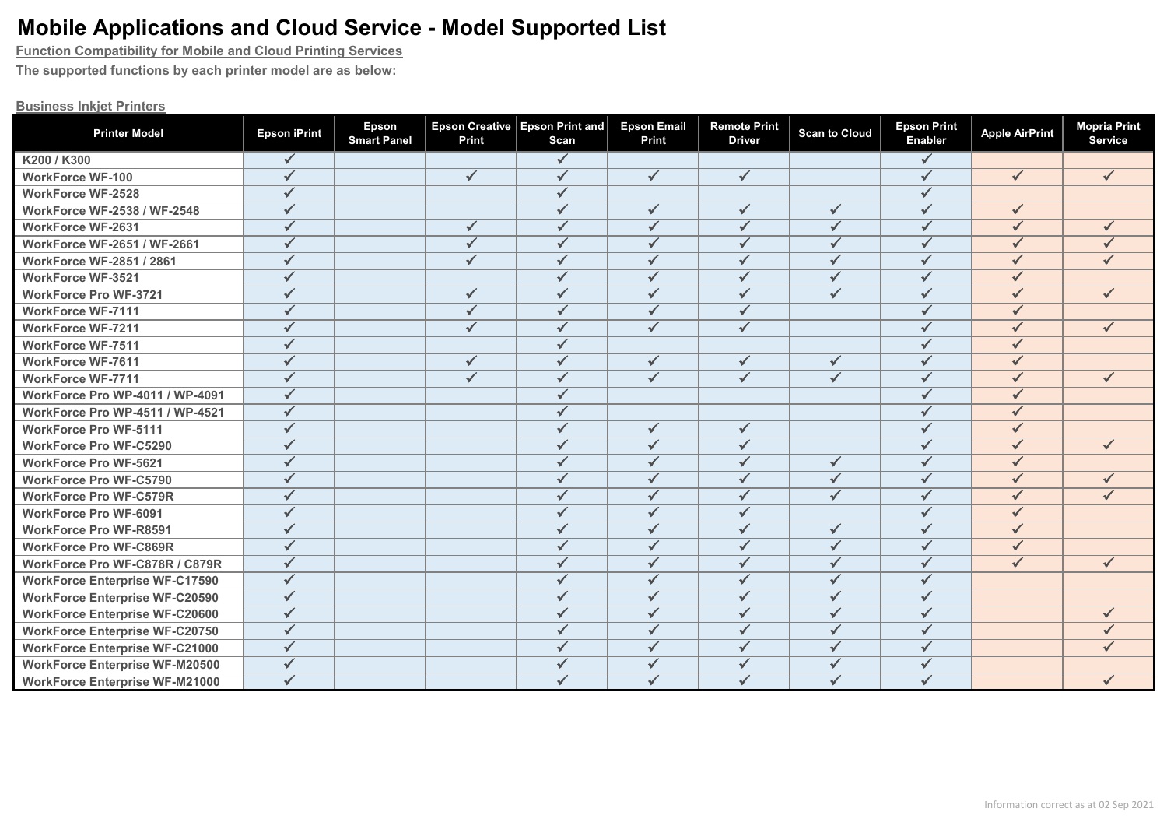**Function Compatibility for Mobile and Cloud Printing Services**

**The supported functions by each printer model are as below:**

#### **Business Inkjet Printers**

| <b>Printer Model</b>                   | <b>Epson iPrint</b> | <b>Epson</b><br><b>Smart Panel</b> | Print                   | Epson Creative   Epson Print and  <br>Scan | <b>Epson Email</b><br><b>Print</b> | <b>Remote Print</b><br><b>Driver</b> | <b>Scan to Cloud</b>    | <b>Epson Print</b><br><b>Enabler</b> | <b>Apple AirPrint</b> | <b>Mopria Print</b><br><b>Service</b> |
|----------------------------------------|---------------------|------------------------------------|-------------------------|--------------------------------------------|------------------------------------|--------------------------------------|-------------------------|--------------------------------------|-----------------------|---------------------------------------|
| K200 / K300                            | $\checkmark$        |                                    |                         | $\checkmark$                               |                                    |                                      |                         | $\checkmark$                         |                       |                                       |
| <b>WorkForce WF-100</b>                | $\checkmark$        |                                    | $\checkmark$            | $\checkmark$                               | $\checkmark$                       | $\checkmark$                         |                         | ✓                                    | $\checkmark$          | $\checkmark$                          |
| <b>WorkForce WF-2528</b>               | $\checkmark$        |                                    |                         | $\checkmark$                               |                                    |                                      |                         |                                      |                       |                                       |
| <b>WorkForce WF-2538 / WF-2548</b>     | $\checkmark$        |                                    |                         | $\checkmark$                               | $\checkmark$                       | $\checkmark$                         | $\checkmark$            | ✓                                    | $\checkmark$          |                                       |
| <b>WorkForce WF-2631</b>               | $\checkmark$        |                                    | $\checkmark$            | $\checkmark$                               | $\checkmark$                       | $\checkmark$                         | $\checkmark$            | $\checkmark$                         | $\sqrt{}$             |                                       |
| <b>WorkForce WF-2651 / WF-2661</b>     | $\checkmark$        |                                    | $\checkmark$            | $\checkmark$                               | $\checkmark$                       | $\checkmark$                         | $\checkmark$            | $\checkmark$                         | $\checkmark$          |                                       |
| <b>WorkForce WF-2851 / 2861</b>        | $\checkmark$        |                                    | $\checkmark$            | $\checkmark$                               | $\checkmark$                       | $\checkmark$                         | $\checkmark$            | $\checkmark$                         | $\checkmark$          |                                       |
| <b>WorkForce WF-3521</b>               | $\checkmark$        |                                    |                         | $\checkmark$                               | $\checkmark$                       | $\checkmark$                         | $\checkmark$            | $\checkmark$                         | $\checkmark$          |                                       |
| <b>WorkForce Pro WF-3721</b>           | $\checkmark$        |                                    | $\checkmark$            | $\checkmark$                               | $\checkmark$                       | $\checkmark$                         | $\checkmark$            | $\checkmark$                         | $\checkmark$          |                                       |
| <b>WorkForce WF-7111</b>               | $\checkmark$        |                                    | $\checkmark$            | $\checkmark$                               | $\checkmark$                       | $\checkmark$                         |                         | ✓                                    | $\checkmark$          |                                       |
| <b>WorkForce WF-7211</b>               | $\checkmark$        |                                    | $\checkmark$            | $\checkmark$                               | $\checkmark$                       | $\checkmark$                         |                         | $\checkmark$                         | $\checkmark$          |                                       |
| <b>WorkForce WF-7511</b>               | $\checkmark$        |                                    |                         | $\checkmark$                               |                                    |                                      |                         | ✓                                    | $\checkmark$          |                                       |
| <b>WorkForce WF-7611</b>               | $\checkmark$        |                                    | $\checkmark$            | $\checkmark$                               | $\checkmark$                       | $\checkmark$                         | $\checkmark$            | $\checkmark$                         | $\checkmark$          |                                       |
| <b>WorkForce WF-7711</b>               | $\checkmark$        |                                    | $\overline{\checkmark}$ | $\checkmark$                               | $\overline{\checkmark}$            | $\overline{\checkmark}$              | $\overline{\checkmark}$ | $\checkmark$                         | $\checkmark$          | $\checkmark$                          |
| <b>WorkForce Pro WP-4011 / WP-4091</b> | $\checkmark$        |                                    |                         |                                            |                                    |                                      |                         |                                      | ✓                     |                                       |
| WorkForce Pro WP-4511 / WP-4521        | $\checkmark$        |                                    |                         | ✓                                          |                                    |                                      |                         | ✓                                    | $\checkmark$          |                                       |
| <b>WorkForce Pro WF-5111</b>           | $\checkmark$        |                                    |                         | $\checkmark$                               | $\checkmark$                       | $\checkmark$                         |                         | ✓                                    | $\checkmark$          |                                       |
| <b>WorkForce Pro WF-C5290</b>          | $\checkmark$        |                                    |                         | $\checkmark$                               | $\checkmark$                       | $\checkmark$                         |                         | $\checkmark$                         | $\checkmark$          |                                       |
| <b>WorkForce Pro WF-5621</b>           | $\checkmark$        |                                    |                         | $\checkmark$                               | $\checkmark$                       | $\checkmark$                         | $\checkmark$            | $\checkmark$                         | $\checkmark$          |                                       |
| <b>WorkForce Pro WF-C5790</b>          | $\checkmark$        |                                    |                         | ✓                                          | $\checkmark$                       | $\checkmark$                         | $\checkmark$            | $\checkmark$                         | $\checkmark$          |                                       |
| <b>WorkForce Pro WF-C579R</b>          | $\checkmark$        |                                    |                         | ✓                                          | $\checkmark$                       | $\checkmark$                         | $\checkmark$            | ✓                                    | $\checkmark$          |                                       |
| <b>WorkForce Pro WF-6091</b>           | $\checkmark$        |                                    |                         | $\checkmark$                               | $\checkmark$                       | $\checkmark$                         |                         | $\checkmark$                         | $\checkmark$          |                                       |
| <b>WorkForce Pro WF-R8591</b>          | $\checkmark$        |                                    |                         | $\checkmark$                               | $\checkmark$                       | $\checkmark$                         | $\checkmark$            | $\checkmark$                         | $\checkmark$          |                                       |
| <b>WorkForce Pro WF-C869R</b>          | $\checkmark$        |                                    |                         | $\checkmark$                               | $\checkmark$                       | $\checkmark$                         | $\checkmark$            | $\checkmark$                         | $\checkmark$          |                                       |
| WorkForce Pro WF-C878R / C879R         | $\checkmark$        |                                    |                         | $\checkmark$                               | $\checkmark$                       | $\checkmark$                         | $\checkmark$            | $\checkmark$                         | $\checkmark$          |                                       |
| <b>WorkForce Enterprise WF-C17590</b>  | $\checkmark$        |                                    |                         | ✓                                          | $\checkmark$                       | $\checkmark$                         | $\checkmark$            |                                      |                       |                                       |
| <b>WorkForce Enterprise WF-C20590</b>  | $\checkmark$        |                                    |                         | $\checkmark$                               | $\checkmark$                       | $\checkmark$                         | $\checkmark$            | $\checkmark$                         |                       |                                       |
| <b>WorkForce Enterprise WF-C20600</b>  | $\checkmark$        |                                    |                         | $\checkmark$                               | $\checkmark$                       | $\checkmark$                         | $\checkmark$            | $\checkmark$                         |                       |                                       |
| <b>WorkForce Enterprise WF-C20750</b>  | $\checkmark$        |                                    |                         | $\checkmark$                               | $\checkmark$                       | $\checkmark$                         | $\checkmark$            | $\checkmark$                         |                       |                                       |
| <b>WorkForce Enterprise WF-C21000</b>  | $\checkmark$        |                                    |                         | $\checkmark$                               | $\checkmark$                       | $\checkmark$                         | $\checkmark$            |                                      |                       |                                       |
| <b>WorkForce Enterprise WF-M20500</b>  | $\checkmark$        |                                    |                         |                                            | $\checkmark$                       | $\checkmark$                         | $\checkmark$            |                                      |                       |                                       |
| <b>WorkForce Enterprise WF-M21000</b>  | $\checkmark$        |                                    |                         |                                            | $\checkmark$                       | $\checkmark$                         | ✓                       |                                      |                       |                                       |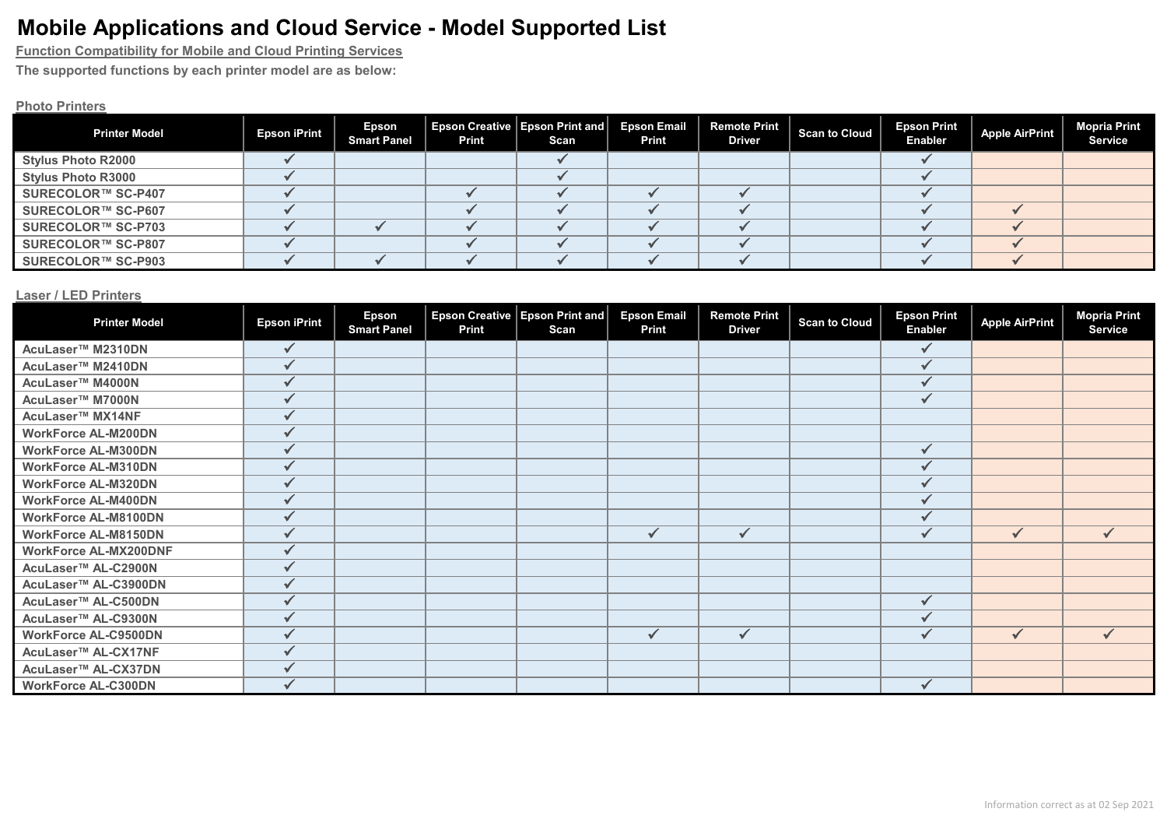**Function Compatibility for Mobile and Cloud Printing Services**

**The supported functions by each printer model are as below:**

### **Photo Printers**

| <b>Printer Model</b>      | <b>Epson iPrint</b> | <b>Epson</b><br><b>Smart Panel</b> | Print | Epson Creative Epson Print and Epson Email Remote Print  <br>Scan | Print | <b>Driver</b> | Scan to Cloud | <b>Epson Print</b><br><b>Enabler</b> | Apple AirPrint | <b>Mopria Print</b><br><b>Service</b> |
|---------------------------|---------------------|------------------------------------|-------|-------------------------------------------------------------------|-------|---------------|---------------|--------------------------------------|----------------|---------------------------------------|
| <b>Stylus Photo R2000</b> |                     |                                    |       |                                                                   |       |               |               |                                      |                |                                       |
| <b>Stylus Photo R3000</b> |                     |                                    |       |                                                                   |       |               |               |                                      |                |                                       |
| SURECOLOR™ SC-P407        |                     |                                    |       |                                                                   |       |               |               |                                      |                |                                       |
| SURECOLOR™ SC-P607        |                     |                                    |       |                                                                   |       |               |               |                                      |                |                                       |
| SURECOLOR™ SC-P703        |                     |                                    |       |                                                                   |       |               |               |                                      |                |                                       |
| SURECOLOR™ SC-P807        |                     |                                    |       |                                                                   |       |               |               |                                      |                |                                       |
| SURECOLOR™ SC-P903        |                     |                                    |       |                                                                   |       |               |               |                                      |                |                                       |

#### **Laser / LED Printers**

| <b>Printer Model</b>            | <b>Epson iPrint</b> | Epson<br><b>Smart Panel</b> | <b>Epson Creative</b><br><b>Print</b> | Epson Print and<br>Scan | <b>Epson Email</b><br><b>Print</b> | <b>Remote Print</b><br><b>Driver</b> | <b>Scan to Cloud</b> | <b>Epson Print</b><br><b>Enabler</b> | <b>Apple AirPrint</b> | <b>Mopria Print</b><br><b>Service</b> |
|---------------------------------|---------------------|-----------------------------|---------------------------------------|-------------------------|------------------------------------|--------------------------------------|----------------------|--------------------------------------|-----------------------|---------------------------------------|
| AcuLaser <sup>™</sup> M2310DN   | ✓                   |                             |                                       |                         |                                    |                                      |                      |                                      |                       |                                       |
| AcuLaser™ M2410DN               |                     |                             |                                       |                         |                                    |                                      |                      |                                      |                       |                                       |
| AcuLaser™ M4000N                |                     |                             |                                       |                         |                                    |                                      |                      |                                      |                       |                                       |
| AcuLaser™ M7000N                |                     |                             |                                       |                         |                                    |                                      |                      | $\checkmark$                         |                       |                                       |
| AcuLaser <sup>™</sup> MX14NF    |                     |                             |                                       |                         |                                    |                                      |                      |                                      |                       |                                       |
| <b>WorkForce AL-M200DN</b>      | ✓                   |                             |                                       |                         |                                    |                                      |                      |                                      |                       |                                       |
| <b>WorkForce AL-M300DN</b>      |                     |                             |                                       |                         |                                    |                                      |                      | ✔                                    |                       |                                       |
| <b>WorkForce AL-M310DN</b>      |                     |                             |                                       |                         |                                    |                                      |                      |                                      |                       |                                       |
| <b>WorkForce AL-M320DN</b>      | $\checkmark$        |                             |                                       |                         |                                    |                                      |                      | ✓                                    |                       |                                       |
| <b>WorkForce AL-M400DN</b>      | ✓                   |                             |                                       |                         |                                    |                                      |                      |                                      |                       |                                       |
| <b>WorkForce AL-M8100DN</b>     | ✓                   |                             |                                       |                         |                                    |                                      |                      |                                      |                       |                                       |
| <b>WorkForce AL-M8150DN</b>     |                     |                             |                                       |                         | $\checkmark$                       | $\checkmark$                         |                      | $\checkmark$                         | $\checkmark$          | $\checkmark$                          |
| <b>WorkForce AL-MX200DNF</b>    |                     |                             |                                       |                         |                                    |                                      |                      |                                      |                       |                                       |
| AcuLaser™ AL-C2900N             | ✓                   |                             |                                       |                         |                                    |                                      |                      |                                      |                       |                                       |
| AcuLaser™ AL-C3900DN            |                     |                             |                                       |                         |                                    |                                      |                      |                                      |                       |                                       |
| AcuLaser™ AL-C500DN             |                     |                             |                                       |                         |                                    |                                      |                      | $\checkmark$                         |                       |                                       |
| AcuLaser™ AL-C9300N             |                     |                             |                                       |                         |                                    |                                      |                      |                                      |                       |                                       |
| <b>WorkForce AL-C9500DN</b>     |                     |                             |                                       |                         | $\checkmark$                       | ✓                                    |                      | ✓                                    | $\checkmark$          |                                       |
| AcuLaser <sup>™</sup> AL-CX17NF | ✔                   |                             |                                       |                         |                                    |                                      |                      |                                      |                       |                                       |
| AcuLaser™ AL-CX37DN             |                     |                             |                                       |                         |                                    |                                      |                      |                                      |                       |                                       |
| <b>WorkForce AL-C300DN</b>      |                     |                             |                                       |                         |                                    |                                      |                      | $\checkmark$                         |                       |                                       |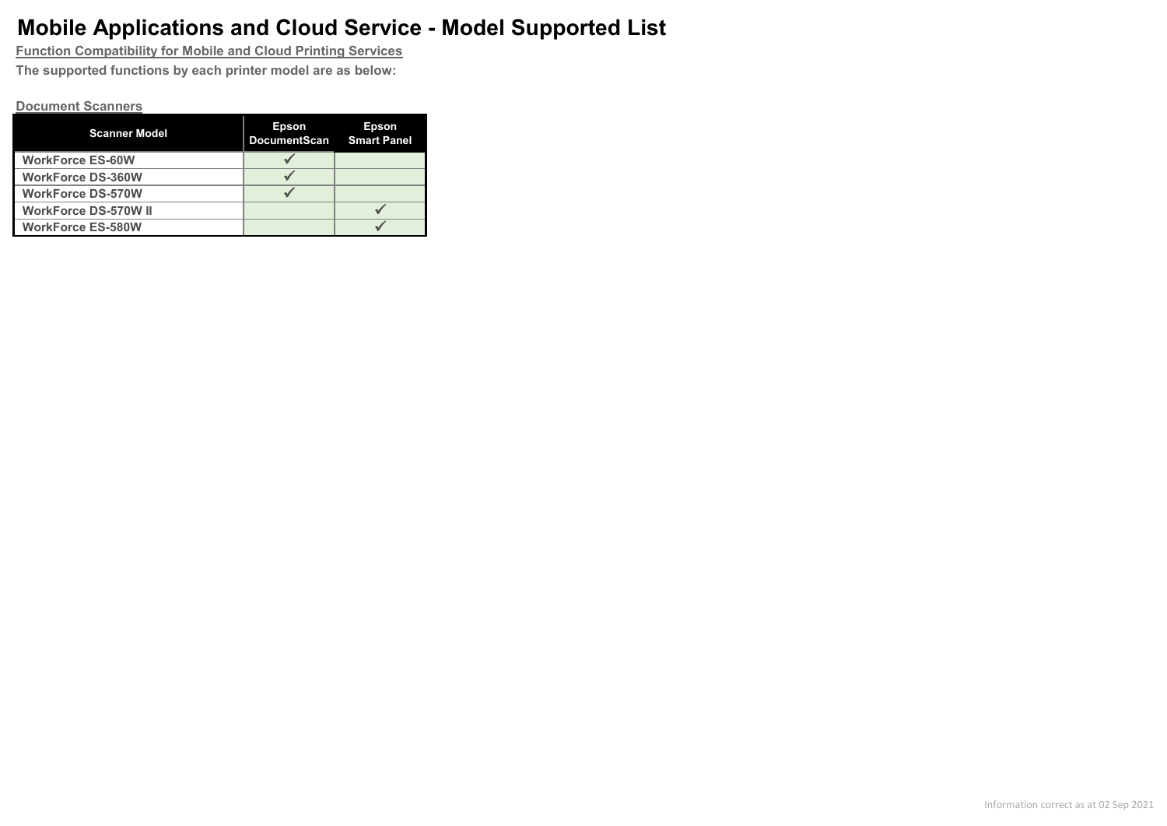**Function Compatibility for Mobile and Cloud Printing Services The supported functions by each printer model are as below:**

#### **Document Scanners**

| <b>Scanner Model</b>        | <b>Epson</b><br><b>DocumentScan</b> | <b>Epson</b><br><b>Smart Panel</b> |
|-----------------------------|-------------------------------------|------------------------------------|
| <b>WorkForce ES-60W</b>     |                                     |                                    |
| <b>WorkForce DS-360W</b>    |                                     |                                    |
| <b>WorkForce DS-570W</b>    |                                     |                                    |
| <b>WorkForce DS-570W II</b> |                                     |                                    |
| <b>WorkForce ES-580W</b>    |                                     |                                    |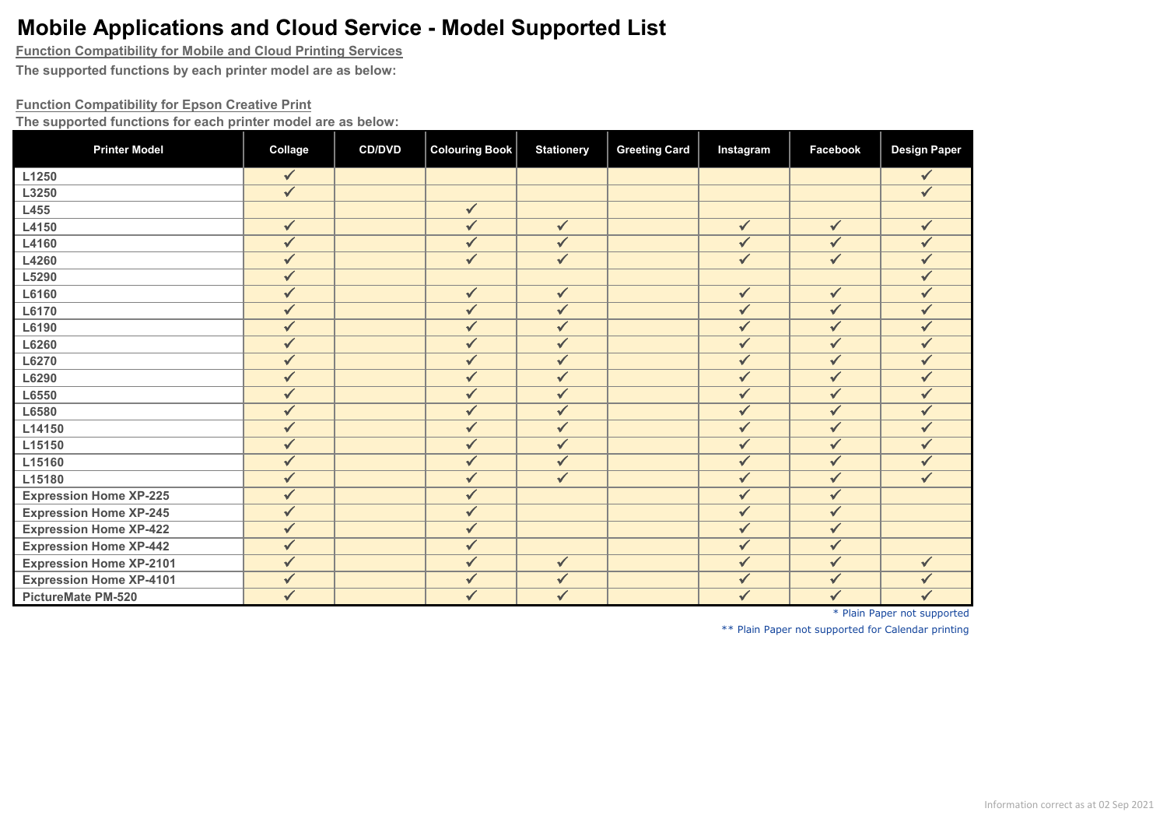**Function Compatibility for Mobile and Cloud Printing Services**

**The supported functions by each printer model are as below:**

#### **Function Compatibility for Epson Creative Print**

**The supported functions for each printer model are as below:**

| <b>Printer Model</b>           | Collage      | <b>CD/DVD</b> | <b>Colouring Book</b>   | <b>Stationery</b> | <b>Greeting Card</b> | Instagram               | Facebook                | <b>Design Paper</b> |
|--------------------------------|--------------|---------------|-------------------------|-------------------|----------------------|-------------------------|-------------------------|---------------------|
| L1250                          | $\checkmark$ |               |                         |                   |                      |                         |                         | $\checkmark$        |
| L3250                          | $\checkmark$ |               |                         |                   |                      |                         |                         | $\checkmark$        |
| L455                           |              |               | $\checkmark$            |                   |                      |                         |                         |                     |
| L4150                          | ✓            |               | $\checkmark$            | $\checkmark$      |                      | $\checkmark$            | $\checkmark$            | ✓                   |
| L4160                          | ✓            |               | $\sqrt{}$               | $\sqrt{}$         |                      | ✓                       | $\checkmark$            |                     |
| L4260                          | ✓            |               | $\checkmark$            | $\checkmark$      |                      | $\checkmark$            | $\overline{\checkmark}$ | $\checkmark$        |
| L5290                          | ✓            |               |                         |                   |                      |                         |                         |                     |
| L6160                          | ✓            |               | $\checkmark$            | $\checkmark$      |                      | $\checkmark$            | $\checkmark$            |                     |
| L6170                          | ✓            |               | $\checkmark$            | $\checkmark$      |                      | $\checkmark$            | $\overline{\checkmark}$ | $\checkmark$        |
| L6190                          | ✓            |               | $\checkmark$            | $\checkmark$      |                      | $\checkmark$            | $\overline{\checkmark}$ | ✓                   |
| L6260                          | ✓            |               | $\checkmark$            | ✓                 |                      | ✓                       | $\checkmark$            |                     |
| L6270                          | ✓            |               | $\checkmark$            | $\checkmark$      |                      | $\checkmark$            | $\checkmark$            | $\checkmark$        |
| L6290                          | ✓            |               | $\checkmark$            | $\checkmark$      |                      | $\checkmark$            | $\checkmark$            | ✓                   |
| L6550                          | ✓            |               | $\checkmark$            | $\sqrt{}$         |                      | ✓                       | $\checkmark$            |                     |
| L6580                          | ✓            |               | $\checkmark$            | $\checkmark$      |                      | $\checkmark$            | $\overline{\checkmark}$ | $\checkmark$        |
| L14150                         | ✓            |               | $\checkmark$            | $\checkmark$      |                      | $\checkmark$            | $\checkmark$            | ✓                   |
| L15150                         | ✓            |               | $\checkmark$            | $\checkmark$      |                      | $\sqrt{}$               | $\checkmark$            |                     |
| L15160                         | $\checkmark$ |               | $\overline{\checkmark}$ | $\checkmark$      |                      | $\overline{\checkmark}$ | $\overline{\checkmark}$ | $\sqrt{}$           |
| L15180                         | ✓            |               | $\checkmark$            | $\checkmark$      |                      | $\checkmark$            | $\checkmark$            | ✓                   |
| <b>Expression Home XP-225</b>  | ✓            |               | ✓                       |                   |                      | $\checkmark$            | $\checkmark$            |                     |
| <b>Expression Home XP-245</b>  | $\checkmark$ |               | $\overline{\checkmark}$ |                   |                      | $\overline{\checkmark}$ | $\overline{\checkmark}$ |                     |
| <b>Expression Home XP-422</b>  | ✓            |               | $\checkmark$            |                   |                      | $\checkmark$            | $\checkmark$            |                     |
| <b>Expression Home XP-442</b>  | $\checkmark$ |               | $\checkmark$            |                   |                      | $\checkmark$            | $\checkmark$            |                     |
| <b>Expression Home XP-2101</b> | $\checkmark$ |               | $\overline{\checkmark}$ | $\checkmark$      |                      | $\checkmark$            | $\checkmark$            | $\checkmark$        |
| <b>Expression Home XP-4101</b> | ✓            |               | $\sqrt{}$               | $\checkmark$      |                      | $\checkmark$            | $\checkmark$            | ✓                   |
| PictureMate PM-520             | ✓            |               | ✓                       | $\checkmark$      |                      | $\checkmark$            | $\checkmark$            | $\checkmark$        |

\* Plain Paper not supported

\*\* Plain Paper not supported for Calendar printing